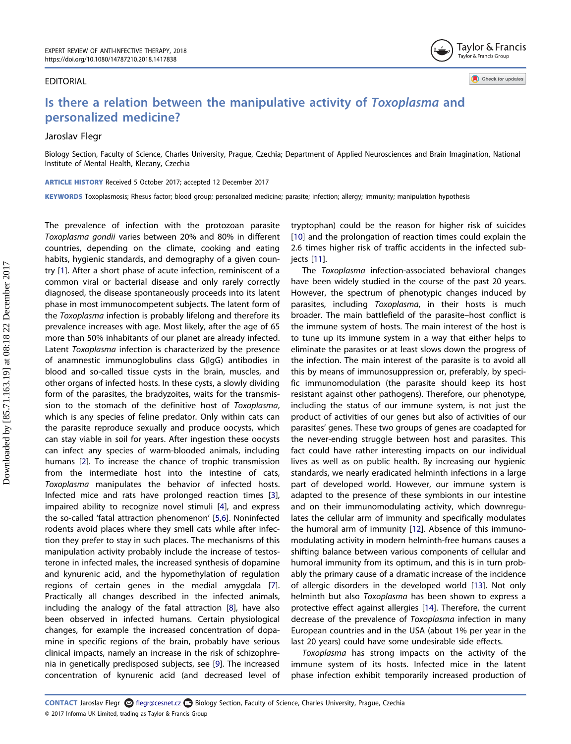#### EDITORIAL

Taylor & Francis Taylor & Francis Group

Check for updates

# Is there a relation between the manipulative activity of Toxoplasma and personalized medicine?

# Jaroslav Flegr

Biology Section, Faculty of Science, Charles University, Prague, Czechia; Department of Applied Neurosciences and Brain Imagination, National Institute of Mental Health, Klecany, Czechia

ARTICLE HISTORY Received 5 October 2017; accepted 12 December 2017

KEYWORDS Toxoplasmosis; Rhesus factor; blood group; personalized medicine; parasite; infection; allergy; immunity; manipulation hypothesis

<span id="page-0-3"></span><span id="page-0-2"></span><span id="page-0-1"></span><span id="page-0-0"></span>The prevalence of infection with the protozoan parasite Toxoplasma gondii varies between 20% and 80% in different countries, depending on the climate, cooking and eating habits, hygienic standards, and demography of a given country [\[1](#page-1-0)]. After a short phase of acute infection, reminiscent of a common viral or bacterial disease and only rarely correctly diagnosed, the disease spontaneously proceeds into its latent phase in most immunocompetent subjects. The latent form of the Toxoplasma infection is probably lifelong and therefore its prevalence increases with age. Most likely, after the age of 65 more than 50% inhabitants of our planet are already infected. Latent Toxoplasma infection is characterized by the presence of anamnestic immunoglobulins class G(IgG) antibodies in blood and so-called tissue cysts in the brain, muscles, and other organs of infected hosts. In these cysts, a slowly dividing form of the parasites, the bradyzoites, waits for the transmission to the stomach of the definitive host of Toxoplasma, which is any species of feline predator. Only within cats can the parasite reproduce sexually and produce oocysts, which can stay viable in soil for years. After ingestion these oocysts can infect any species of warm-blooded animals, including humans [\[2](#page-1-1)]. To increase the chance of trophic transmission from the intermediate host into the intestine of cats, Toxoplasma manipulates the behavior of infected hosts. Infected mice and rats have prolonged reaction times [\[3](#page-1-2)], impaired ability to recognize novel stimuli [[4\]](#page-1-3), and express the so-called 'fatal attraction phenomenon' [[5,](#page-1-4)[6\]](#page-1-5). Noninfected rodents avoid places where they smell cats while after infection they prefer to stay in such places. The mechanisms of this manipulation activity probably include the increase of testosterone in infected males, the increased synthesis of dopamine and kynurenic acid, and the hypomethylation of regulation regions of certain genes in the medial amygdala [\[7](#page-2-0)]. Practically all changes described in the infected animals, including the analogy of the fatal attraction [\[8](#page-2-1)], have also been observed in infected humans. Certain physiological changes, for example the increased concentration of dopamine in specific regions of the brain, probably have serious clinical impacts, namely an increase in the risk of schizophrenia in genetically predisposed subjects, see [[9\]](#page-2-2). The increased concentration of kynurenic acid (and decreased level of <span id="page-0-8"></span>tryptophan) could be the reason for higher risk of suicides [\[10](#page-2-3)] and the prolongation of reaction times could explain the 2.6 times higher risk of traffic accidents in the infected subjects [[11\]](#page-2-4).

<span id="page-0-9"></span>The Toxoplasma infection-associated behavioral changes have been widely studied in the course of the past 20 years. However, the spectrum of phenotypic changes induced by parasites, including Toxoplasma, in their hosts is much broader. The main battlefield of the parasite–host conflict is the immune system of hosts. The main interest of the host is to tune up its immune system in a way that either helps to eliminate the parasites or at least slows down the progress of the infection. The main interest of the parasite is to avoid all this by means of immunosuppression or, preferably, by specific immunomodulation (the parasite should keep its host resistant against other pathogens). Therefore, our phenotype, including the status of our immune system, is not just the product of activities of our genes but also of activities of our parasites' genes. These two groups of genes are coadapted for the never-ending struggle between host and parasites. This fact could have rather interesting impacts on our individual lives as well as on public health. By increasing our hygienic standards, we nearly eradicated helminth infections in a large part of developed world. However, our immune system is adapted to the presence of these symbionts in our intestine and on their immunomodulating activity, which downregulates the cellular arm of immunity and specifically modulates the humoral arm of immunity [[12\]](#page-2-5). Absence of this immunomodulating activity in modern helminth-free humans causes a shifting balance between various components of cellular and humoral immunity from its optimum, and this is in turn probably the primary cause of a dramatic increase of the incidence of allergic disorders in the developed world [[13\]](#page-2-6). Not only helminth but also Toxoplasma has been shown to express a protective effect against allergies [\[14](#page-2-7)]. Therefore, the current decrease of the prevalence of Toxoplasma infection in many European countries and in the USA (about 1% per year in the last 20 years) could have some undesirable side effects.

<span id="page-0-12"></span><span id="page-0-11"></span><span id="page-0-10"></span><span id="page-0-7"></span><span id="page-0-6"></span><span id="page-0-5"></span><span id="page-0-4"></span>Toxoplasma has strong impacts on the activity of the immune system of its hosts. Infected mice in the latent phase infection exhibit temporarily increased production of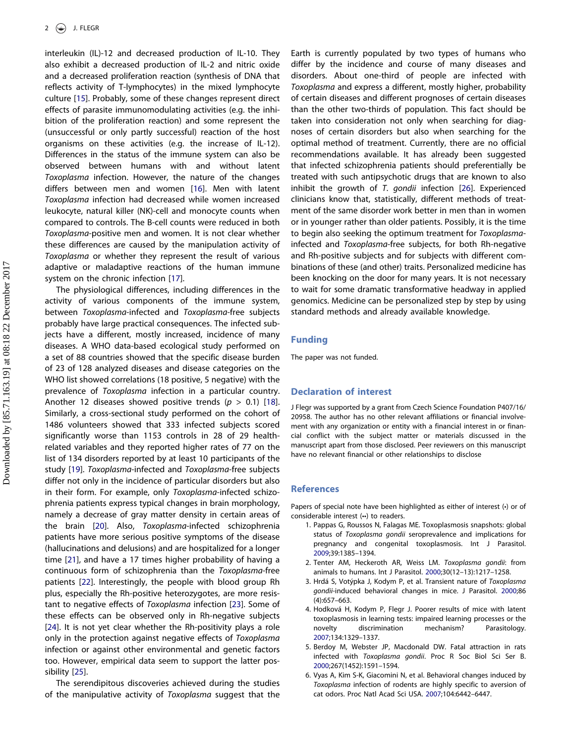<span id="page-1-6"></span>interleukin (IL)-12 and decreased production of IL-10. They also exhibit a decreased production of IL-2 and nitric oxide and a decreased proliferation reaction (synthesis of DNA that reflects activity of T-lymphocytes) in the mixed lymphocyte culture [[15](#page-2-8)]. Probably, some of these changes represent direct effects of parasite immunomodulating activities (e.g. the inhibition of the proliferation reaction) and some represent the (unsuccessful or only partly successful) reaction of the host organisms on these activities (e.g. the increase of IL-12). Differences in the status of the immune system can also be observed between humans with and without latent Toxoplasma infection. However, the nature of the changes differs between men and women [\[16](#page-2-9)]. Men with latent Toxoplasma infection had decreased while women increased leukocyte, natural killer (NK)-cell and monocyte counts when compared to controls. The B-cell counts were reduced in both Toxoplasma-positive men and women. It is not clear whether these differences are caused by the manipulation activity of Toxoplasma or whether they represent the result of various adaptive or maladaptive reactions of the human immune system on the chronic infection [[17](#page-2-10)].

<span id="page-1-10"></span><span id="page-1-9"></span><span id="page-1-8"></span><span id="page-1-7"></span>The physiological differences, including differences in the activity of various components of the immune system, between Toxoplasma-infected and Toxoplasma-free subjects probably have large practical consequences. The infected subjects have a different, mostly increased, incidence of many diseases. A WHO data-based ecological study performed on a set of 88 countries showed that the specific disease burden of 23 of 128 analyzed diseases and disease categories on the WHO list showed correlations (18 positive, 5 negative) with the prevalence of Toxoplasma infection in a particular country. Another 12 diseases showed positive trends ( $p > 0.1$ ) [\[18](#page-2-11)]. Similarly, a cross-sectional study performed on the cohort of 1486 volunteers showed that 333 infected subjects scored significantly worse than 1153 controls in 28 of 29 healthrelated variables and they reported higher rates of 77 on the list of 134 disorders reported by at least 10 participants of the study [[19\]](#page-2-12). Toxoplasma-infected and Toxoplasma-free subjects differ not only in the incidence of particular disorders but also in their form. For example, only Toxoplasma-infected schizophrenia patients express typical changes in brain morphology, namely a decrease of gray matter density in certain areas of the brain [[20](#page-2-13)]. Also, Toxoplasma-infected schizophrenia patients have more serious positive symptoms of the disease (hallucinations and delusions) and are hospitalized for a longer time [\[21\]](#page-2-14), and have a 17 times higher probability of having a continuous form of schizophrenia than the Toxoplasma-free patients [\[22\]](#page-2-15). Interestingly, the people with blood group Rh plus, especially the Rh-positive heterozygotes, are more resistant to negative effects of Toxoplasma infection [[23](#page-2-16)]. Some of these effects can be observed only in Rh-negative subjects [[24](#page-2-17)]. It is not yet clear whether the Rh-positivity plays a role only in the protection against negative effects of Toxoplasma infection or against other environmental and genetic factors too. However, empirical data seem to support the latter possibility [[25](#page-2-18)].

<span id="page-1-16"></span><span id="page-1-15"></span><span id="page-1-14"></span><span id="page-1-13"></span><span id="page-1-12"></span><span id="page-1-11"></span>The serendipitous discoveries achieved during the studies of the manipulative activity of Toxoplasma suggest that the <span id="page-1-17"></span>Earth is currently populated by two types of humans who differ by the incidence and course of many diseases and disorders. About one-third of people are infected with Toxoplasma and express a different, mostly higher, probability of certain diseases and different prognoses of certain diseases than the other two-thirds of population. This fact should be taken into consideration not only when searching for diagnoses of certain disorders but also when searching for the optimal method of treatment. Currently, there are no official recommendations available. It has already been suggested that infected schizophrenia patients should preferentially be treated with such antipsychotic drugs that are known to also inhibit the growth of T. gondii infection [[26](#page-2-19)]. Experienced clinicians know that, statistically, different methods of treatment of the same disorder work better in men than in women or in younger rather than older patients. Possibly, it is the time to begin also seeking the optimum treatment for Toxoplasmainfected and Toxoplasma-free subjects, for both Rh-negative and Rh-positive subjects and for subjects with different combinations of these (and other) traits. Personalized medicine has been knocking on the door for many years. It is not necessary to wait for some dramatic transformative headway in applied genomics. Medicine can be personalized step by step by using standard methods and already available knowledge.

#### Funding

The paper was not funded.

### Declaration of interest

J Flegr was supported by a grant from Czech Science Foundation P407/16/ 20958. The author has no other relevant affiliations or financial involvement with any organization or entity with a financial interest in or financial conflict with the subject matter or materials discussed in the manuscript apart from those disclosed. Peer reviewers on this manuscript have no relevant financial or other relationships to disclose

## References

Papers of special note have been highlighted as either of interest (•) or of considerable interest (••) to readers.

- <span id="page-1-0"></span>1. Pappas G, Roussos N, Falagas ME. Toxoplasmosis snapshots: global status of Toxoplasma gondii seroprevalence and implications for pregnancy and congenital toxoplasmosis. Int J Parasitol. [2009](#page-0-0);39:1385–1394.
- <span id="page-1-1"></span>2. Tenter AM, Heckeroth AR, Weiss LM. Toxoplasma gondii: from animals to humans. Int J Parasitol. [2000;](#page-0-1)30(12–13):1217–1258.
- <span id="page-1-2"></span>3. Hrdá S, Votýpka J, Kodym P, et al. Transient nature of Toxoplasma gondii-induced behavioral changes in mice. J Parasitol. [2000;](#page-0-2)86 (4):657–663.
- <span id="page-1-3"></span>4. Hodková H, Kodym P, Flegr J. Poorer results of mice with latent toxoplasmosis in learning tests: impaired learning processes or the novelty discrimination mechanism? Parasitology. [2007](#page-0-3);134:1329–1337.
- <span id="page-1-4"></span>5. Berdoy M, Webster JP, Macdonald DW. Fatal attraction in rats infected with Toxoplasma gondii. Proc R Soc Biol Sci Ser B. [2000](#page-0-4);267(1452):1591–1594.
- <span id="page-1-5"></span>6. Vyas A, Kim S-K, Giacomini N, et al. Behavioral changes induced by Toxoplasma infection of rodents are highly specific to aversion of cat odors. Proc Natl Acad Sci USA. [2007;](#page-0-4)104:6442–6447.